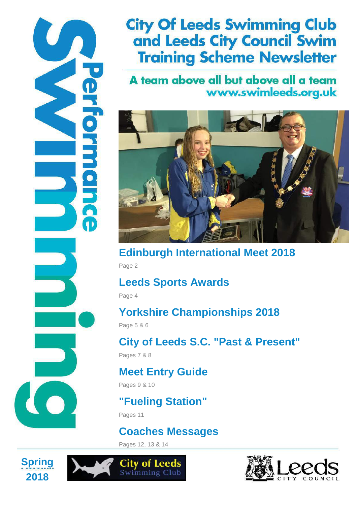# **City Of Leeds Swimming Club** and Leeds City Council Swim **Training Scheme Newsletter**

## A team above all but above all a team www.swimleeds.org.uk



**Edinburgh International Meet 2018** Page 2

# **Leeds Sports Awards**

Page 4

# **Yorkshire Championships 2018**

Page 5 & 6

**City of Leeds S.C. "Past & Present"**

Pages 7 & 8

# **Meet Entry Guide**

Pages 9 & 10

# **"Fueling Station"**

Pages 11

# **Coaches Messages**

Pages 12, 13 & 14

**City of Leeds** 



 $\mathbf{I}$ 



**Performance** 

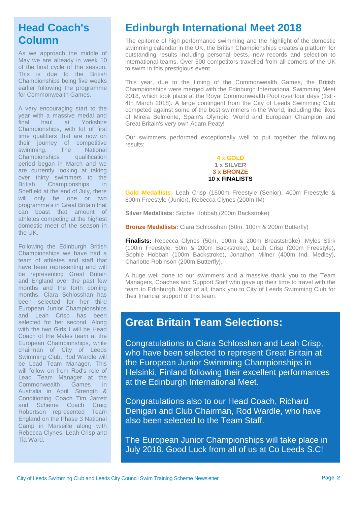## **Head Coach's Column**

As we approach the middle of May we are already in week 10 of the final cycle of the season. This is due to the British Championships being five weeks earlier following the programme for Commonwealth Games.

A very encouraging start to the year with a massive medal and final haul at Yorkshire Championships, with lot of first time qualifiers that are now on their journey of competitive<br>swimming. The National The National Championships qualification period began in March and we are currently looking at taking over thirty swimmers to the British Championships in Sheffield at the end of July, there will only be one or two programme's in Great Britain that can boast that amount of athletes competing at the highest domestic meet of the season in the UK.

Following the Edinburgh British Championships we have had a team of athletes and staff that have been representing and will be representing Great Britain and England over the past few months and the forth coming months. Ciara Schlosshan has been selected for her third European Junior Championships and Leah Crisp has been selected for her second. Along with the two Girls I will be Head Coach of the Males team at the European Championships, while chairman of City of Leeds Swimming Club, Rod Wardle will be Lead Team Manager. This will follow on from Rod's role of Lead Team Manager at the<br>Commonwealth Games in Commonwealth Games Australia in April. Strength & Conditioning Coach Tim Jarrett and Scheme Coach Craig Robertson represented Team England on the Phase 3 National Camp in Marseille along with Rebecca Clynes, Leah Crisp and Tia Ward.

# **Edinburgh International Meet 2018**

The epitome of high performance swimming and the highlight of the domestic swimming calendar in the UK, the British Championships creates a platform for outstanding results including personal bests, new records and selection to international teams. Over 500 competitors travelled from all corners of the UK to swim in this prestigious event.

This year, due to the timing of the Commonwealth Games, the British Championships were merged with the Edinburgh International Swimming Meet 2018, which took place at the Royal Commonwealth Pool over four days (1st - 4th March 2018). A large contingent from the City of Leeds Swimming Club competed against some of the best swimmers in the World, including the likes of Mireia Belmonte, Spain's Olympic, World and European Champion and Great Britain's very own Adam Peaty!

Our swimmers performed exceptionally well to put together the following results:

> **4 x GOLD 1 x SILVER 3 x BRONZE 10 x FINALISTS**

**Gold Medallists:** Leah Crisp (1500m Freestyle (Senior), 400m Freestyle & 800m Freestyle (Junior), Rebecca Clynes (200m IM)

**Silver Medallists:** Sophie Hobbah (200m Backstroke)

**Bronze Medallists:** Ciara Schlosshan (50m, 100m & 200m Butterfly)

**Finalists:** Rebecca Clynes (50m, 100m & 200m Breaststroke), Myles Stirk (100m Freestyle, 50m & 200m Backstroke), Leah Crisp (200m Freestyle), Sophie Hobbah (100m Backstroke), Jonathon Milner (400m Ind. Medley), Charlotte Robinson (200m Butterfly),

A huge well done to our swimmers and a massive thank you to the Team Managers, Coaches and Support Staff who gave up their time to travel with the team to Edinburgh. Most of all, thank you to City of Leeds Swimming Club for their financial support of this team.

#### **Great Britain Team Selections:**

Congratulations to Ciara Schlosshan and Leah Crisp, who have been selected to represent Great Britain at the European Junior Swimming Championships in Helsinki, Finland following their excellent performances at the Edinburgh International Meet.

Congratulations also to our Head Coach, Richard Denigan and Club Chairman, Rod Wardle, who have also been selected to the Team Staff.

The European Junior Championships will take place in July 2018. Good Luck from all of us at Co Leeds S.C!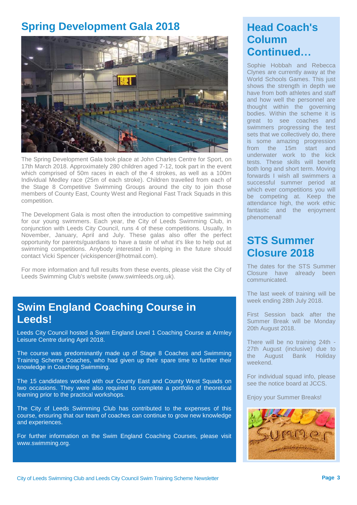## **Spring Development Gala 2018**



The Spring Development Gala took place at John Charles Centre for Sport, on 17th March 2018. Approximately 280 children aged 7-12, took part in the event which comprised of 50m races in each of the 4 strokes, as well as a 100m Individual Medley race (25m of each stroke). Children travelled from each of the Stage 8 Competitive Swimming Groups around the city to join those members of County East, County West and Regional Fast Track Squads in this competition.

The Development Gala is most often the introduction to competitive swimming for our young swimmers. Each year, the City of Leeds Swimming Club, in conjunction with Leeds City Council, runs 4 of these competitions. Usually, In November, January, April and July. These galas also offer the perfect opportunity for parents/guardians to have a taste of what it's like to help out at swimming competitions. Anybody interested in helping in the future should contact Vicki Spencer (vickispencer@hotmail.com).

For more information and full results from these events, please visit the City of Leeds Swimming Club's website (www.swimleeds.org.uk).

### **Swim England Coaching Course in Leeds!**

Leeds City Council hosted a Swim England Level 1 Coaching Course at Armley Leisure Centre during April 2018.

The course was predominantly made up of Stage 8 Coaches and Swimming Training Scheme Coaches, who had given up their spare time to further their knowledge in Coaching Swimming.

The 15 candidates worked with our County East and County West Squads on two occasions. They were also required to complete a portfolio of theoretical learning prior to the practical workshops.

The City of Leeds Swimming Club has contributed to the expenses of this course, ensuring that our team of coaches can continue to grow new knowledge and experiences.

For further information on the Swim England Coaching Courses, please visit www.swimming.org.

## **Head Coach's Column Continued…**

Sophie Hobbah and Rebecca Clynes are currently away at the World Schools Games. This just shows the strength in depth we have from both athletes and staff and how well the personnel are thought within the governing bodies. Within the scheme it is great to see coaches and swimmers progressing the test sets that we collectively do, there is some amazing progression from the 15m start and underwater work to the kick tests. These skills will benefit both long and short term. Moving forwards I wish all swimmers a successful summer period at which ever competitions you will be competing at. Keep the attendance high, the work ethic fantastic and the enjoyment phenomenal!

## **STS Summer Closure 2018**

The dates for the STS Summer Closure have already been communicated.

The last week of training will be week ending 28th July 2018.

First Session back after the Summer Break will be Monday 20th August 2018.

There will be no training 24th - 27th August (inclusive) due to the August Bank Holiday weekend.

For individual squad info, please see the notice board at JCCS.

Enjoy your Summer Breaks!

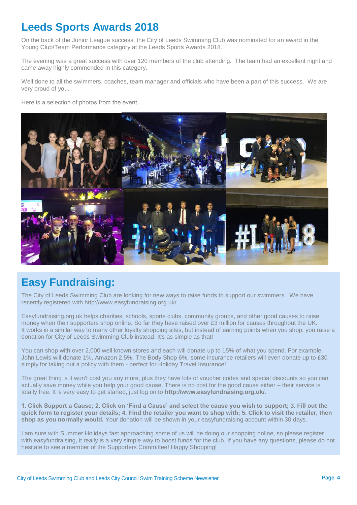## **Leeds Sports Awards 2018**

On the back of the Junior League success, the City of Leeds Swimming Club was nominated for an award in the Young Club/Team Performance category at the Leeds Sports Awards 2018.

The evening was a great success with over 120 members of the club attending. The team had an excellent night and came away highly commended in this category.

Well done to all the swimmers, coaches, team manager and officials who have been a part of this success. We are very proud of you.

Here is a selection of photos from the event…



## **Easy Fundraising:**

The City of Leeds Swimming Club are looking for new ways to raise funds to support our swimmers. We have recently registered with http://www.easyfundraising.org.uk/.

Easyfundraising.org.uk helps charities, schools, sports clubs, community groups, and other good causes to raise money when their supporters shop online. So far they have raised over £3 million for causes throughout the UK. It works in a similar way to many other loyalty shopping sites, but instead of earning points when you shop, you raise a donation for City of Leeds Swimming Club instead. It's as simple as that!

You can shop with over 2,000 well known stores and each will donate up to 15% of what you spend. For example, John Lewis will donate 1%, Amazon 2.5%, The Body Shop 6%, some insurance retailers will even donate up to £30 simply for taking out a policy with them - perfect for Holiday Travel Insurance!

The great thing is it won't cost you any more, plus they have lots of voucher codes and special discounts so you can actually save money while you help your good cause. There is no cost for the good cause either – their service is totally free. It is very easy to get started, just log on to **http://www.easyfundraising.org.uk/**.

**1. Click Support a Cause; 2. Click on 'Find a Cause' and select the cause you wish to support; 3. Fill out the quick form to register your details; 4. Find the retailer you want to shop with; 5. Click to visit the retailer, then shop as you normally would.** Your donation will be shown in your easyfundraising account within 30 days.

I am sure with Summer Holidays fast approaching some of us will be doing our shopping online, so please register with easyfundraising, it really is a very simple way to boost funds for the club. If you have any questions, please do not hesitate to see a member of the Supporters Committee! Happy Shopping!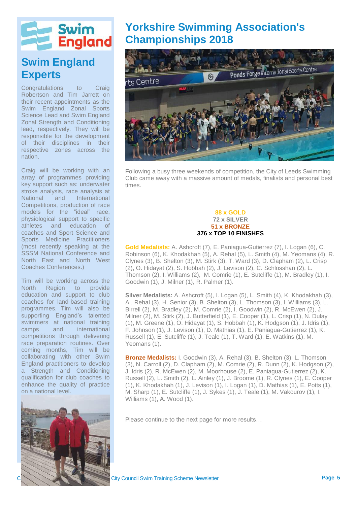

## **Swim England Experts**

Congratulations to Craig Robertson and Tim Jarrett on their recent appointments as the Swim England Zonal Sports Science Lead and Swim England Zonal Strength and Conditioning lead, respectively. They will be responsible for the development of their disciplines in their respective zones across the nation.

Craig will be working with an array of programmes providing key support such as: underwater stroke analysis, race analysis at National and International Competitions, production of race models for the "ideal" race, physiological support to specific athletes and education of coaches and Sport Science and Sports Medicine Practitioners (most recently speaking at the SSSM National Conference and North East and North West Coaches Conferences.)

Tim will be working across the North Region to provide education and support to club coaches for land-based training programmes. Tim will also be supporting England's talented swimmers at national training camps and international competitions through delivering race preparation routines. Over coming months, Tim will be collaborating with other Swim England practitioners to develop a Strength and Conditioning qualification for club coaches to enhance the quality of practice on a national level.



## **Yorkshire Swimming Association's Championships 2018**



Following a busy three weekends of competition, the City of Leeds Swimming Club came away with a massive amount of medals, finalists and personal best times.

#### **88 x GOLD 72 x SILVER 51 x BRONZE 376 x TOP 10 FINISHES**

**Gold Medalists:** A. Ashcroft (7), E. Paniagua-Gutierrez (7), I. Logan (6), C. Robinson (6), K. Khodakhah (5), A. Rehal (5), L. Smith (4), M. Yeomans (4), R. Clynes (3), B. Shelton (3), M. Stirk (3), T. Ward (3), D. Clapham (2), L. Crisp (2), O. Hidayat (2), S. Hobbah (2), J. Levison (2), C. Schlosshan (2), L. Thomson (2), I. Williams (2), M. Comrie (1), E. Sutcliffe (1), M. Bradley (1), I. Goodwin (1), J. Milner (1), R. Palmer (1).

**Silver Medalists:** A. Ashcroft (5), I. Logan (5), L. Smith (4), K. Khodakhah (3), A.. Rehal (3), H. Senior (3), B. Shelton (3), L. Thomson (3), I. Williams (3), L. Birrell (2), M. Bradley (2), M. Comrie (2), I. Goodwin (2), R. McEwen (2), J. Milner (2), M. Stirk (2), J. Butterfield (1), E. Cooper (1), L. Crisp (1), N. Dulay (1), M. Greene (1), O. Hidayat (1), S. Hobbah (1), K. Hodgson (1), J. Idris (1), F. Johnson (1), J. Levison (1), D. Mathias (1), E. Paniagua-Gutierrez (1), K. Russell (1), E. Sutcliffe (1), J. Teale (1), T. Ward (1), E. Watkins (1), M. Yeomans (1).

**Bronze Medalists:** I. Goodwin (3), A. Rehal (3), B. Shelton (3), L. Thomson (3), N. Carroll (2), D. Clapham (2), M. Comrie (2), R. Dunn (2), K. Hodgson (2), J. Idris (2), R. McEwen (2), M. Moorhouse (2), E. Paniagua-Gutierrez (2), K. Russell (2), L. Smith (2), L. Ainley (1), J. Broome (1), R. Clynes (1), E. Cooper (1), K. Khodakhah (1), J. Levison (1), I. Logan (1), D. Mathias (1), E. Potts (1), M. Sharp (1), E. Sutcliffe (1), J. Sykes (1), J. Teale (1), M. Vakourov (1), I. Williams (1), A. Wood (1).

Please continue to the next page for more results…

City Council Swim Training Scheme Newsletter **City Council Swim Training Scheme Newsletter Page 5**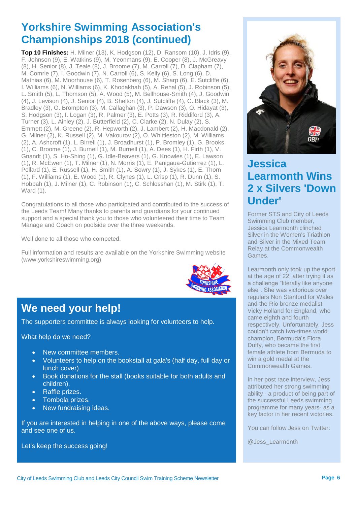## **Yorkshire Swimming Association's Championships 2018 (continued)**

**Top 10 Finishes:** H. Milner (13), K. Hodgson (12), D. Ransom (10), J. Idris (9), F. Johnson (9), E. Watkins (9), M. Yeonmans (9), E. Cooper (8), J. McGreavy (8), H. Senior (8), J. Teale (8), J. Broome (7), M. Carroll (7), D. Clapham (7), M. Comrie (7), I. Goodwin (7), N. Carroll (6), S. Kelly (6), S. Long (6), D. Mathias (6), M. Moorhouse (6), T. Rosenberg (6), M. Sharp (6), E. Sutcliffe (6), I. Williams (6), N. Williams (6), K. Khodakhah (5), A. Rehal (5), J. Robinson (5), L. Smith (5), L. Thomson (5), A. Wood (5), M. Bellhouse-Smith (4), J. Goodwin (4), J. Levison (4), J. Senior (4), B. Shelton (4), J. Sutcliffe (4), C. Black (3), M. Bradley (3), O. Brompton (3), M. Callaghan (3), P. Dawson (3), O. Hidayat (3), S. Hodgson (3), I. Logan (3), R. Palmer (3), E. Potts (3), R. Riddiford (3), A. Turner (3), L. Ainley (2), J. Butterfield (2), C. Clarke (2), N. Dulay (2), S. Emmett (2), M. Greene (2), R. Hepworth (2), J. Lambert (2), H. Macdonald (2), G. Milner (2), K. Russell (2), M. Vakourov (2), O. Whittleston (2), M. Williams (2), A. Ashcroft (1), L. Birrell (1), J. Broadhurst (1), P. Bromley (1), G. Brooks (1), C. Broome (1), J. Burnell (1), M. Burnell (1), A. Dees (1), H. Firth (1), V. Gnandt (1), S. Ho-Shing (1), G. Idle-Beavers (1), G. Knowles (1), E. Lawson (1), R. McEwen (1), T. Milner (1), N. Morris (1), E. Panigaua-Gutierrez (1), L. Pollard (1), E. Russell (1), H. Smith (1), A. Sowry (1), J. Sykes (1), E. Thorn (1), F. Williams (1), E. Wood (1), R. Clynes (1), L. Crisp (1), R. Dunn (1), S. Hobbah (1), J. Milner (1), C. Robinson (1), C. Schlosshan (1), M. Stirk (1), T. Ward (1).

Congratulations to all those who participated and contributed to the success of the Leeds Team! Many thanks to parents and guardians for your continued support and a special thank you to those who volunteered their time to Team Manage and Coach on poolside over the three weekends.

Well done to all those who competed.

Full information and results are available on the Yorkshire Swimming website (www.yorkshireswimming.org)



# **We need your help!**

The supporters committee is always looking for volunteers to help.

What help do we need?

- New committee members.
- Volunteers to help on the bookstall at gala's (half day, full day or lunch cover).
- Book donations for the stall (books suitable for both adults and children).
- Raffle prizes.
- Tombola prizes.
- New fundraising ideas.

If you are interested in helping in one of the above ways, please come and see one of us.

Let's keep the success going!



## **Jessica Learmonth Wins 2 x Silvers 'Down Under'**

Former STS and City of Leeds Swimming Club member, Jessica Learmonth clinched Silver in the Women's Triathlon and Silver in the Mixed Team Relay at the Commonwealth Games.

Learmonth only took up the sport at the age of 22, after trying it as a challenge "literally like anyone else". She was victorious over regulars Non Stanford for Wales and the Rio bronze medalist Vicky Holland for England, who came eighth and fourth respectively. Unfortunately, Jess couldn't catch two-times world champion, Bermuda's Flora Duffy, who became the first female athlete from Bermuda to win a gold medal at the Commonwealth Games.

In her post race interview, Jess attributed her strong swimming ability - a product of being part of the successful Leeds swimming programme for many years- as a key factor in her recent victories.

You can follow Jess on Twitter:

@Jess\_Learmonth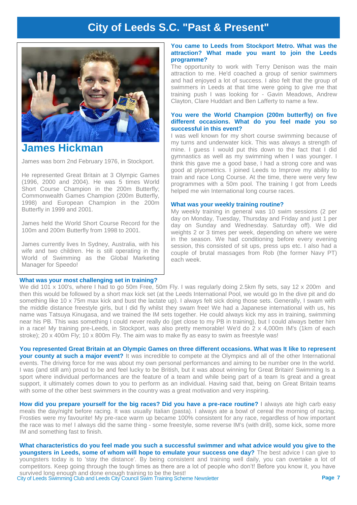## **City of Leeds S.C. "Past & Present"**



#### **James Hickman**

James was born 2nd February 1976, in Stockport.

He represented Great Britain at 3 Olympic Games (1996, 2000 and 2004). He was 5 times World Short Course Champion in the 200m Butterfly; Commonwealth Games Champion (200m Butterfly, 1998) and European Champion in the 200m Butterfly in 1999 and 2001.

James held the World Short Course Record for the 100m and 200m Butterfly from 1998 to 2001.

James currently lives In Sydney, Australia, with his wife and two children. He is still operating in the World of Swimming as the Global Marketing Manager for Speedo!

#### **What was your most challenging set in training?**

#### **You came to Leeds from Stockport Metro. What was the attraction? What made you want to join the Leeds programme?**

The opportunity to work with Terry Denison was the main attraction to me. He'd coached a group of senior swimmers and had enjoyed a lot of success. I also felt that the group of swimmers in Leeds at that time were going to give me that training push I was looking for - Gavin Meadows, Andrew Clayton, Clare Huddart and Ben Lafferty to name a few.

#### **You were the World Champion (200m butterfly) on five different occasions. What do you feel made you so successful in this event?**

I was well known for my short course swimming because of my turns and underwater kick. This was always a strength of mine. I guess I would put this down to the fact that I did gymnastics as well as my swimming when I was younger. I think this gave me a good base, I had a strong core and was good at plyometrics. I joined Leeds to Improve my ability to train and race Long Course. At the time, there were very few programmes with a 50m pool. The training I got from Leeds helped me win International long course races.

#### **What was your weekly training routine?**

My weekly training in general was 10 swim sessions (2 per day on Monday, Tuesday, Thursday and Friday and just 1 per day on Sunday and Wednesday. Saturday off). We did weights 2 or 3 times per week, depending on where we were in the season. We had conditioning before every evening session, this consisted of sit ups, press ups etc. I also had a couple of brutal massages from Rob (the former Navy PT) each week.

We did 101 x 100's, where I had to go 50m Free, 50m Fly. I was regularly doing 2.5km fly sets, say 12 x 200m and then this would be followed by a short max kick set (at the Leeds International Pool, we would go In the dive pit and do something like 10 x 75m max kick and bust the lactate up). I always felt sick doing those sets. Generally, I swam with the middle distance freestyle girls, but I did fly whilst they swam free! We had a Japanese international with us, his name was Tatsuya Kinugasa, and we trained the IM sets together. He could always kick my ass in training, swimming near his PB. This was something I could never really do (get close to my PB in training), but I could always better him in a race! My training pre-Leeds, in Stockport, was also pretty memorable! We'd do 2 x 4,000m IM's (1km of each stroke); 20 x 400m Fly; 10 x 800m Fly. The aim was to make fly as easy to swim as freestyle was!

**You represented Great Britain at an Olympic Games on three different occasions. What was It like to represent your county at such a major event?** It was incredible to compete at the Olympics and all of the other International events. The driving force for me was about my own personal performances and aiming to be number one In the world. I was (and still am) proud to be and feel lucky to be British, but it was about winning for Great Britain! Swimming Is a sport where individual performances are the feature of a team and while being part of a team Is great and a great support, it ultimately comes down to you to perform as an individual. Having said that, being on Great Britain teams with some of the other best swimmers in the country was a great motivation and very inspiring.

How did you prepare yourself for the big races? Did you have a pre-race routine? I always ate high carb easy meals the day/night before racing. It was usually Italian (pasta). I always ate a bowl of cereal the morning of racing. Frosties were my favourite! My pre-race warm up became 100% consistent for any race, regardless of how important the race was to me! I always did the same thing - some freestyle, some reverse IM's (with drill), some kick, some more IM and something fast to finish.

City of Leeds Swimming Club and Leeds City Council Swim Training Scheme Newsletter **Page 7 What characteristics do you feel made you such a successful swimmer and what advice would you give to the youngsters in Leeds, some of whom will hope to emulate your success one day?** The best advice I can give to youngsters today is to 'stay the distance'. By being consistent and training well daily, you can overtake a lot of competitors. Keep going through the tough times as there are a lot of people who don't! Before you know it, you have survived long enough and done enough training to be the best!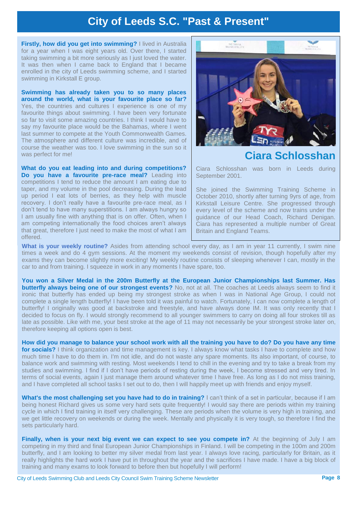### **City of Leeds S.C. "Past & Present"**

**Firstly, how did you get into swimming?** I lived in Australia for a year when I was eight years old. Over there, I started taking swimming a bit more seriously as I just loved the water. It was then when I came back to England that I became enrolled in the city of Leeds swimming scheme, and I started swimming in Kirkstall E group.

**Swimming has already taken you to so many places around the world, what is your favourite place so far?** Yes, the countries and cultures I experience is one of my favourite things about swimming. I have been very fortunate so far to visit some amazing countries. I think I would have to say my favourite place would be the Bahamas, where I went last summer to compete at the Youth Commonwealth Games. The atmosphere and different culture was incredible, and of course the weather was too. I love swimming in the sun so it was perfect for me!

**What do you eat leading into and during competitions? Do you have a favourite pre-race meal?** Leading into competitions I tend to reduce the amount I am eating due to taper, and my volume in the pool decreasing. During the lead up period I eat lots of berries, as they help with muscle recovery. I don't really have a favourite pre-race meal, as I don't tend to have many superstitions. I am always hungry so I am usually fine with anything that is on offer. Often, when I am competing internationally the food choices aren't always that great, therefore I just need to make the most of what I am offered.



#### **Ciara Schlossh**

Ciara Schlosshan was born in Leeds during September 2001.

She joined the Swimming Training Scheme in October 2010, shortly after turning 9yrs of age, from Kirkstall Leisure Centre. She progressed through every level of the scheme and now trains under the guidance of our Head Coach, Richard Denigan. Ciara has represented a multiple number of Great Britain and England Teams.

What is your weekly routine? Asides from attending school every day, as I am in year 11 currently, I swim nine times a week and do 4 gym sessions. At the moment my weekends consist of revision, though hopefully after my exams they can become slightly more exciting! My weekly routine consists of sleeping whenever I can, mostly in the car to and from training. I squeeze in work in any moments I have spare, too.

**You won a Silver Medal in the 200m Butterfly at the European Junior Championships last Summer. Has butterfly always being one of our strongest events?** No, not at all. The coaches at Leeds always seem to find it ironic that butterfly has ended up being my strongest stroke as when I was in National Age Group, I could not complete a single length butterfly! I have been told it was painful to watch. Fortunately, I can now complete a length of butterfly! I originally was good at backstroke and freestyle, and have always done IM. It was only recently that I decided to focus on fly. I would strongly recommend to all younger swimmers to carry on doing all four strokes till as late as possible. Like with me, your best stroke at the age of 11 may not necessarily be your strongest stroke later on, therefore keeping all options open is best.

**How did you manage to balance your school work with all the training you have to do? Do you have any time for socials?** I think organization and time management is key. I always know what tasks I have to complete and how much time I have to do them in. I'm not idle, and do not waste any spare moments. Its also important, of course, to balance work and swimming with resting. Most weekends I tend to chill in the evening and try to take a break from my studies and swimming. I find if I don't have periods of resting during the week, I become stressed and very tired. In terms of social events, again I just manage them around whatever time I have free. As long as I do not miss training, and I have completed all school tasks I set out to do, then I will happily meet up with friends and enjoy myself.

**What's the most challenging set you have had to do in training?** I can't think of a set in particular, because if I am being honest Richard gives us some very hard sets quite frequently! I would say there are periods within my training cycle in which I find training in itself very challenging. These are periods when the volume is very high in training, and we get little recovery on weekends or during the week. Mentally and physically it is very tough, so therefore I find the sets particularly hard.

**Finally, when is your next big event we can expect to see you compete in?** At the beginning of July I am competing in my third and final European Junior Championships in Finland. I will be competing in the 100m and 200m butterfly, and I am looking to better my silver medal from last year. I always love racing, particularly for Britain, as it really highlights the hard work I have put in throughout the year and the sacrifices I have made. I have a big block of training and many exams to look forward to before then but hopefully I will perform!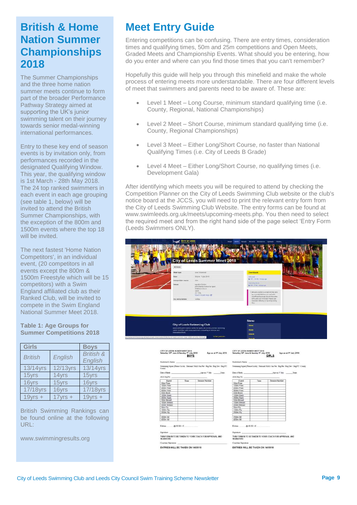## **British & Home Nation Summer Championships 2018**

The Summer Championships and the three home nation summer meets continue to form part of the broader Performance Pathway Strategy aimed at supporting the UK's junior swimming talent on their journey towards senior medal-winning international performances.

Entry to these key end of season events is by invitation only, from performances recorded in the designated Qualifying Window. This year, the qualifying window is 1st March - 28th May 2018. The 24 top ranked swimmers in each event in each age grouping (see table 1, below) will be invited to attend the British Summer Championships, with the exception of the 800m and 1500m events where the top 18 will be invited.

The next fastest 'Home Nation Competitors', in an individual event, (20 competitors in all events except the 800m & 1500m Freestyle which will be 15 competitors) with a Swim England affiliated club as their Ranked Club, will be invited to compete in the Swim England National Summer Meet 2018.

#### **Table 1: Age Groups for Summer Competitions 2018**

| <b>Girls</b>    |                   | <b>Bovs</b>                     |
|-----------------|-------------------|---------------------------------|
| <b>British</b>  | English           | <b>British &amp;</b><br>English |
| 13/14yrs        | 12/13yrs          | 13/14yrs                        |
| 15yrs           | 14 <sub>vrs</sub> | 15yrs                           |
| 16vrs           | 15vrs             | 16vrs                           |
| <b>17/18yrs</b> | 16vrs             | <b>17/18yrs</b>                 |
| $19$ vrs +      | 17 $vrs +$        | $19yrs +$                       |

British Swimming Rankings can be found online at the following URL:

www.swimmingresults.org

## **Meet Entry Guide**

Entering competitions can be confusing. There are entry times, consideration times and qualifying times, 50m and 25m competitions and Open Meets, Graded Meets and Championship Events. What should you be entering, how do you enter and where can you find those times that you can't remember?

Hopefully this guide will help you through this minefield and make the whole process of entering meets more understandable. There are four different levels of meet that swimmers and parents need to be aware of. These are:

- Level 1 Meet Long Course, minimum standard qualifying time (i.e. County, Regional, National Championships)
- Level 2 Meet Short Course, minimum standard qualifying time (i.e. County, Regional Championships)
- Level 3 Meet Either Long/Short Course, no faster than National Qualifying Times (i.e. City of Leeds B Grade)
- Level 4 Meet Either Long/Short Course, no qualifying times (i.e. Development Gala)

After identifying which meets you will be required to attend by checking the Competition Planner on the City of Leeds Swimming Club website or the club's notice board at the JCCS, you will need to print the relevant entry form from the City of Leeds Swimming Club Website. The entry forms can be found at www.swimleeds.org.uk/meets/upcoming-meets.php. You then need to select the required meet and from the right hand side of the page select 'Entry Form (Leeds Swimmers ONLY).

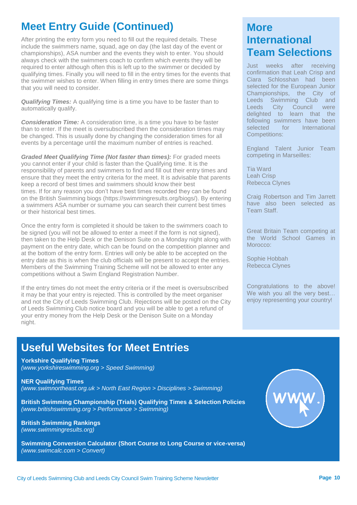## **Meet Entry Guide (Continued)**

After printing the entry form you need to fill out the required details. These include the swimmers name, squad, age on day (the last day of the event or championships), ASA number and the events they wish to enter. You should always check with the swimmers coach to confirm which events they will be required to enter although often this is left up to the swimmer or decided by qualifying times. Finally you will need to fill in the entry times for the events that the swimmer wishes to enter. When filling in entry times there are some things that you will need to consider.

*Qualifying Times:* A qualifying time is a time you have to be faster than to automatically qualify.

*Consideration Time:* A consideration time, is a time you have to be faster than to enter. If the meet is oversubscribed then the consideration times may be changed. This is usually done by changing the consideration times for all events by a percentage until the maximum number of entries is reached.

*Graded Meet Qualifying Time (Not faster than times):* For graded meets you cannot enter if your child is faster than the Qualifying time. It is the responsibility of parents and swimmers to find and fill out their entry times and ensure that they meet the entry criteria for the meet. It is advisable that parents keep a record of best times and swimmers should know their best times. If for any reason you don't have best times recorded they can be found on the British Swimming biogs (https://swimmingresults.org/biogs/). By entering a swimmers ASA number or surname you can search their current best times or their historical best times.

Once the entry form is completed it should be taken to the swimmers coach to be signed (you will not be allowed to enter a meet if the form is not signed), then taken to the Help Desk or the Denison Suite on a Monday night along with payment on the entry date, which can be found on the competition planner and at the bottom of the entry form. Entries will only be able to be accepted on the entry date as this is when the club officials will be present to accept the entries. Members of the Swimming Training Scheme will not be allowed to enter any competitions without a Swim England Registration Number.

If the entry times do not meet the entry criteria or if the meet is oversubscribed it may be that your entry is rejected. This is controlled by the meet organiser and not the City of Leeds Swimming Club. Rejections will be posted on the City of Leeds Swimming Club notice board and you will be able to get a refund of your entry money from the Help Desk or the Denison Suite on a Monday night.

## **Useful Websites for Meet Entries**

**Yorkshire Qualifying Times** *(www.yorkshireswimming.org > Speed Swimming)*

**NER Qualifying Times** *(www.swimnortheast.org.uk > North East Region > Disciplines > Swimming)*

**British Swimming Championship (Trials) Qualifying Times & Selection Policies** *(www.britishswimming.org > Performance > Swimming)*

**British Swimming Rankings** *(www.swimmingresults.org)*

**Swimming Conversion Calculator (Short Course to Long Course or vice-versa)** *(www.swimcalc.com > Convert)*

## **More International Team Selections**

Just weeks after receiving confirmation that Leah Crisp and Ciara Schlosshan had been selected for the European Junior Championships, the City of Leeds Swimming Club and Leeds City Council were delighted to learn that the following swimmers have been selected for International Competitions:

England Talent Junior Team competing in Marseilles:

Tia Ward Leah Crisp Rebecca Clynes

Craig Robertson and Tim Jarrett have also been selected as Team Staff.

Great Britain Team competing at the World School Games in Morocco<sup>-</sup>

Sophie Hobbah Rebecca Clynes

Congratulations to the above! We wish you all the very best... enjoy representing your country!

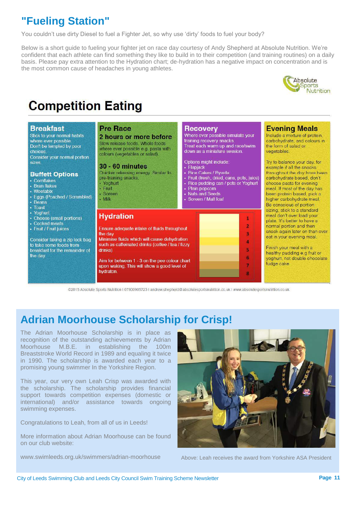# **"Fueling Station"**

You couldn't use dirty Diesel to fuel a Fighter Jet, so why use 'dirty' foods to fuel your body?

Below is a short guide to fueling your fighter jet on race day courtesy of Andy Shepherd at Absolute Nutrition. We're confident that each athlete can find something they like to build in to their competition (and training routines) on a daily basis. Please pay extra attention to the Hydration chart; de-hydration has a negative impact on concentration and is the most common cause of headaches in young athletes.



# **Competition Eating**

#### **Breakfast**

Stick to your normal habits where ever possible Don't be tempted by poor choices Consider your normal portion sizes

#### **Buffett Options**

- Comflakes
- Bran flakes
- Weetabix
- Eggs (Poached / Scrambled)
- · Beans
- · Toast
- · Yoghurt
- Cheese (small portions)
- Cooked meats
- Fruit / Fruit juices

Consider taking a zip lock bag to take some foods from breakfast for the remainder of the day

#### **Pre Race**

#### 2 hours or more before Slow release foods. Whole foods where ever possible e.g. pasta with colours (vegetables or salad).

**30 - 60 minutes** Quicker releasing energy. Similar to pre-training snacks. Yoghurt · Fruit · Soreen · Milk **Hydration** Ensure adequate intake of fluids throughout the day Minimise fluids which will cause dehydration such as caffeinated drinks (coffee / tea / fizzy

drinks)

Aim for between 1 - 3 on the pee colour chart upon waking. This will show a good level of hydraton



Where ever possible simulate your training recovery snacks. Treat each warm up and race/swim down as a miniature session.

Options might include · Flapjack

- · Rice Cakes / Ryveta
- Fruit (fresh, dried, cans, pots, juice) Rice pudding can / pots or Yoghurt
- Plain popcorn
- **Nuts and Seeds**
- Soreen / Malt loaf



#### **Evening Meals**

Include a mixture of protein, carbohydrate, and colours in the form of salad or vegetables

Try to balance your day, for example if all the snacks throughout the day have been carbohydrate based, don't choose pasta for evening meal. If most of the day has been protein based, pick a higher carbohydrate meal. Be conscious of portion sizing, stick to a standard meal don't over load your plate. It's better to have a normal portion and then snack again later on than over eat in your evening meal.

Finish your meal with a healthy pudding e.g fruit or voghurt, not double chocolate fudge cake.

@2015 Absolute Sports Nutrition 1 07800905723 I andrew.shepherd@absolutesportsnutrition.co.uk I www.absolutesportsnutrition.co.uk

# **Adrian Moorhouse Scholarship for Crisp!**

The Adrian Moorhouse Scholarship is in place as recognition of the outstanding achievements by Adrian Moorhouse M.B.E. in establishing the 100m Breaststroke World Record in 1989 and equaling it twice in 1990. The scholarship is awarded each year to a promising young swimmer In the Yorkshire Region.

This year, our very own Leah Crisp was awarded with the scholarship. The scholarship provides financial support towards competition expenses (domestic or international) and/or assistance towards ongoing swimming expenses.

Congratulations to Leah, from all of us in Leeds!

More information about Adrian Moorhouse can be found on our club website:

www.swimleeds.org.uk/swimmers/adrian-moorhouse Above: Leah receives the award from Yorkshire ASA President

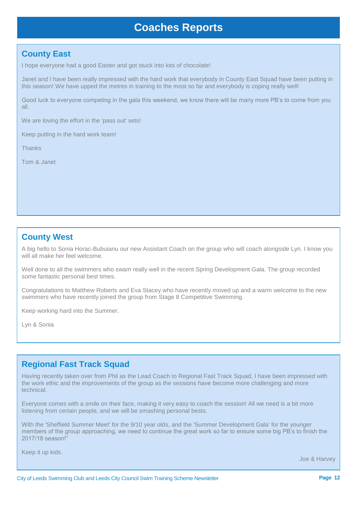### **Coaches Reports**

#### **County East**

I hope everyone had a good Easter and got stuck into lots of chocolate!

Janet and I have been really impressed with the hard work that everybody in County East Squad have been putting in this season! We have upped the metres in training to the most so far and everybody is coping really well!

Good luck to everyone competing in the gala this weekend, we know there will be many more PB's to come from you all.

We are loving the effort in the 'pass out' sets!

Keep putting in the hard work team!

**Thanks** 

Tom & Janet

#### **County West**

A big hello to Sonia Horac-Bubuianu our new Assistant Coach on the group who will coach alongside Lyn. I know you will all make her feel welcome.

Well done to all the swimmers who swam really well in the recent Spring Development Gala. The group recorded some fantastic personal best times.

Congratulations to Matthew Roberts and Eva Stacey who have recently moved up and a warm welcome to the new swimmers who have recently joined the group from Stage 8 Competitive Swimming.

Keep working hard into the Summer.

Lyn & Sonia

#### **Regional Fast Track Squad**

Having recently taken over from Phil as the Lead Coach to Regional Fast Track Squad, I have been impressed with the work ethic and the improvements of the group as the sessions have become more challenging and more technical.

Everyone comes with a smile on their face, making it very easy to coach the session! All we need is a bit more listening from certain people, and we will be smashing personal bests.

With the 'Sheffield Summer Meet' for the 9/10 year olds, and the 'Summer Development Gala' for the younger members of the group approaching, we need to continue the great work so far to ensure some big PB's to finish the 2017/18 season!"

Keep it up kids.

Joe & Harvey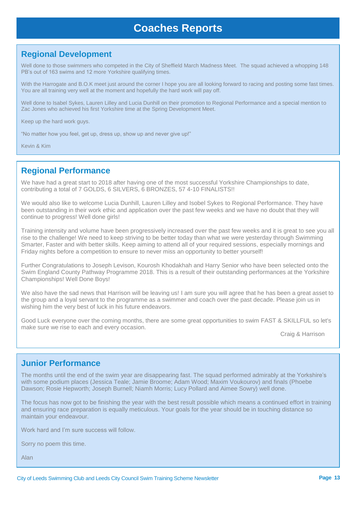## **Coaches Reports**

#### **Regional Development**

Well done to those swimmers who competed in the City of Sheffield March Madness Meet. The squad achieved a whopping 148 PB's out of 163 swims and 12 more Yorkshire qualifying times.

With the Harrogate and B.O.K meet just around the corner I hope you are all looking forward to racing and posting some fast times. You are all training very well at the moment and hopefully the hard work will pay off.

Well done to Isabel Sykes, Lauren Lilley and Lucia Dunhill on their promotion to Regional Performance and a special mention to Zac Jones who achieved his first Yorkshire time at the Spring Development Meet.

Keep up the hard work guys.

"No matter how you feel, get up, dress up, show up and never give up!"

Kevin & Kim

#### **Regional Performance**

We have had a great start to 2018 after having one of the most successful Yorkshire Championships to date, contributing a total of 7 GOLDS, 6 SILVERS, 6 BRONZES, 57 4-10 FINALISTS!!

We would also like to welcome Lucia Dunhill, Lauren Lilley and Isobel Sykes to Regional Performance. They have been outstanding in their work ethic and application over the past few weeks and we have no doubt that they will continue to progress! Well done girls!

Training intensity and volume have been progressively increased over the past few weeks and it is great to see you all rise to the challenge! We need to keep striving to be better today than what we were yesterday through Swimming Smarter, Faster and with better skills. Keep aiming to attend all of your required sessions, especially mornings and Friday nights before a competition to ensure to never miss an opportunity to better yourself!

Further Congratulations to Joseph Levison, Kourosh Khodakhah and Harry Senior who have been selected onto the Swim England County Pathway Programme 2018. This is a result of their outstanding performances at the Yorkshire Championships! Well Done Boys!

We also have the sad news that Harrison will be leaving us! I am sure you will agree that he has been a great asset to the group and a loyal servant to the programme as a swimmer and coach over the past decade. Please join us in wishing him the very best of luck in his future endeavors.

Good Luck everyone over the coming months, there are some great opportunities to swim FAST & SKILLFUL so let's make sure we rise to each and every occasion.

Craig & Harrison

#### **Junior Performance**

The months until the end of the swim year are disappearing fast. The squad performed admirably at the Yorkshire's with some podium places (Jessica Teale; Jamie Broome; Adam Wood; Maxim Voukourov) and finals (Phoebe Dawson; Rosie Hepworth; Joseph Burnell; Niamh Morris; Lucy Pollard and Aimee Sowry) well done.

The focus has now got to be finishing the year with the best result possible which means a continued effort in training and ensuring race preparation is equally meticulous. Your goals for the year should be in touching distance so maintain your endeavour.

Work hard and I'm sure success will follow.

Sorry no poem this time.

Alan